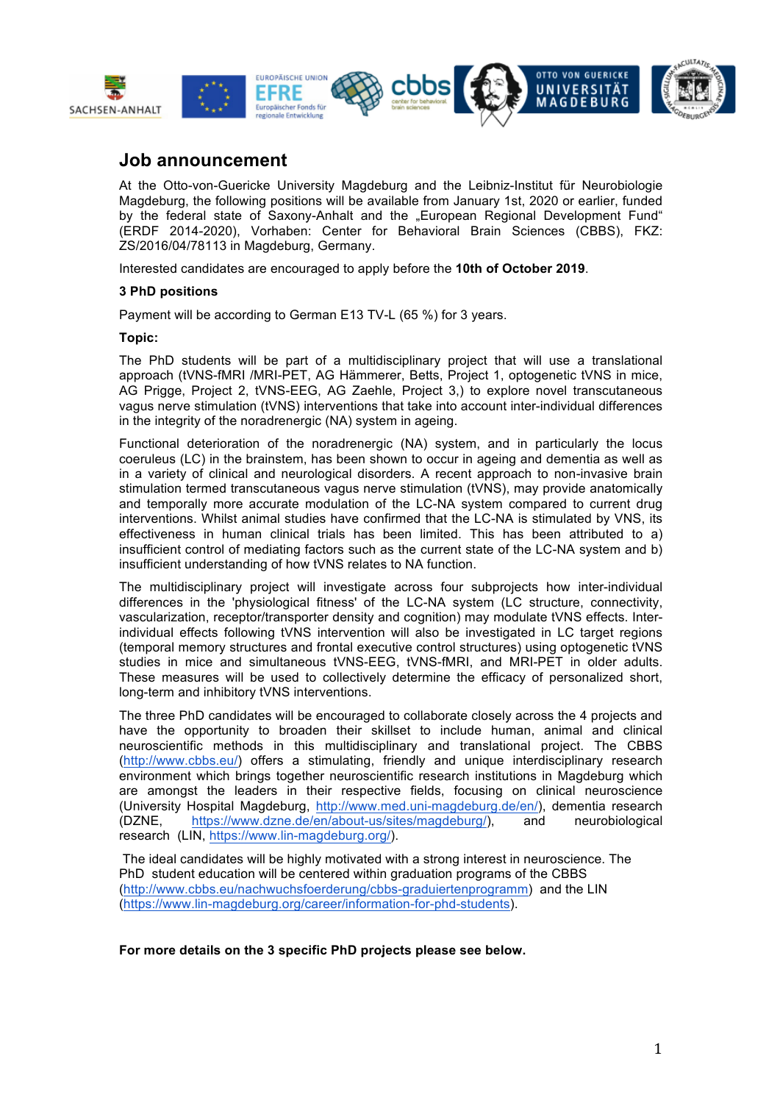

## **Job announcement**

At the Otto-von-Guericke University Magdeburg and the Leibniz-Institut für Neurobiologie Magdeburg, the following positions will be available from January 1st, 2020 or earlier, funded by the federal state of Saxony-Anhalt and the "European Regional Development Fund" (ERDF 2014-2020), Vorhaben: Center for Behavioral Brain Sciences (CBBS), FKZ: ZS/2016/04/78113 in Magdeburg, Germany.

Interested candidates are encouraged to apply before the **10th of October 2019**.

## **3 PhD positions**

Payment will be according to German E13 TV-L (65 %) for 3 years.

## **Topic:**

The PhD students will be part of a multidisciplinary project that will use a translational approach (tVNS-fMRI /MRI-PET, AG Hämmerer, Betts, Project 1, optogenetic tVNS in mice, AG Prigge, Project 2, tVNS-EEG, AG Zaehle, Project 3,) to explore novel transcutaneous vagus nerve stimulation (tVNS) interventions that take into account inter-individual differences in the integrity of the noradrenergic (NA) system in ageing.

Functional deterioration of the noradrenergic (NA) system, and in particularly the locus coeruleus (LC) in the brainstem, has been shown to occur in ageing and dementia as well as in a variety of clinical and neurological disorders. A recent approach to non-invasive brain stimulation termed transcutaneous vagus nerve stimulation (tVNS), may provide anatomically and temporally more accurate modulation of the LC-NA system compared to current drug interventions. Whilst animal studies have confirmed that the LC-NA is stimulated by VNS, its effectiveness in human clinical trials has been limited. This has been attributed to a) insufficient control of mediating factors such as the current state of the LC-NA system and b) insufficient understanding of how tVNS relates to NA function.

The multidisciplinary project will investigate across four subprojects how inter-individual differences in the 'physiological fitness' of the LC-NA system (LC structure, connectivity, vascularization, receptor/transporter density and cognition) may modulate tVNS effects. Interindividual effects following tVNS intervention will also be investigated in LC target regions (temporal memory structures and frontal executive control structures) using optogenetic tVNS studies in mice and simultaneous tVNS-EEG, tVNS-fMRI, and MRI-PET in older adults. These measures will be used to collectively determine the efficacy of personalized short, long-term and inhibitory tVNS interventions.

The three PhD candidates will be encouraged to collaborate closely across the 4 projects and have the opportunity to broaden their skillset to include human, animal and clinical neuroscientific methods in this multidisciplinary and translational project. The CBBS (http://www.cbbs.eu/) offers a stimulating, friendly and unique interdisciplinary research environment which brings together neuroscientific research institutions in Magdeburg which are amongst the leaders in their respective fields, focusing on clinical neuroscience (University Hospital Magdeburg, http://www.med.uni-magdeburg.de/en/), dementia research (DZNE, https://www.dzne.de/en/about-us/sites/magdeburg/), and neurobiological research (LIN, https://www.lin-magdeburg.org/).

The ideal candidates will be highly motivated with a strong interest in neuroscience. The PhD student education will be centered within graduation programs of the CBBS (http://www.cbbs.eu/nachwuchsfoerderung/cbbs-graduiertenprogramm) and the LIN (https://www.lin-magdeburg.org/career/information-for-phd-students).

**For more details on the 3 specific PhD projects please see below.**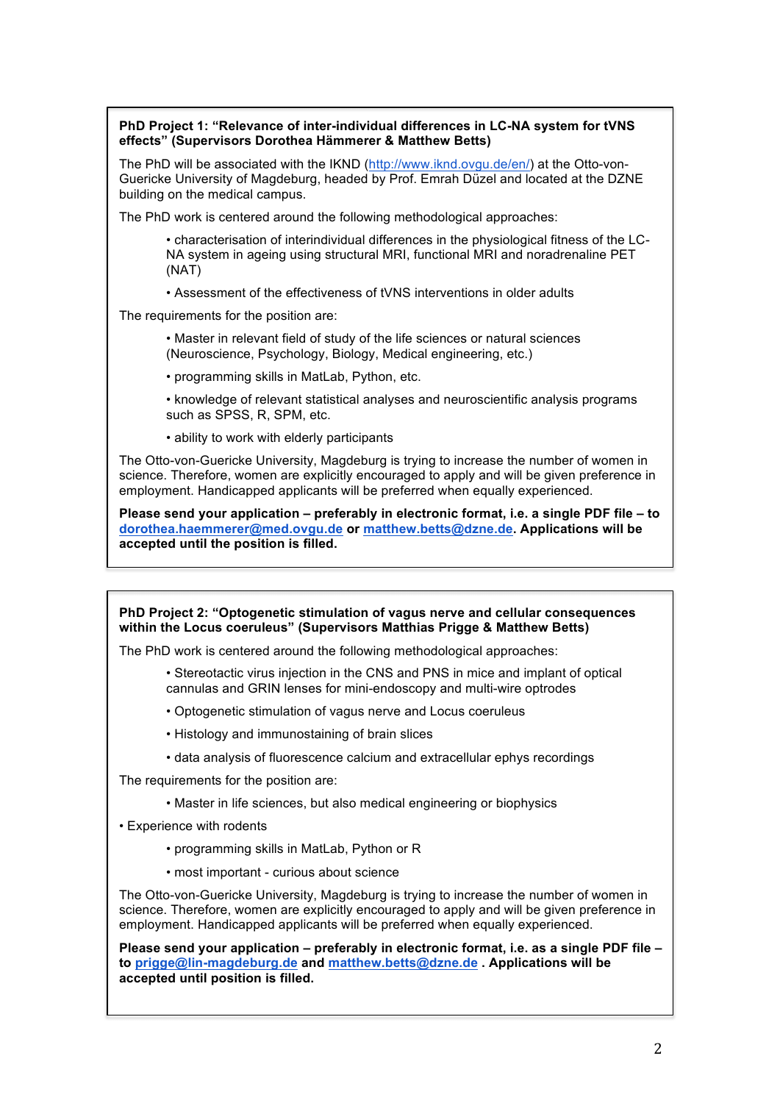## **PhD Project 1: "Relevance of inter-individual differences in LC-NA system for tVNS effects" (Supervisors Dorothea Hämmerer & Matthew Betts)**

The PhD will be associated with the IKND (http://www.iknd.ovgu.de/en/) at the Otto-von-Guericke University of Magdeburg, headed by Prof. Emrah Düzel and located at the DZNE building on the medical campus.

The PhD work is centered around the following methodological approaches:

• characterisation of interindividual differences in the physiological fitness of the LC-NA system in ageing using structural MRI, functional MRI and noradrenaline PET (NAT)

• Assessment of the effectiveness of tVNS interventions in older adults

The requirements for the position are:

• Master in relevant field of study of the life sciences or natural sciences (Neuroscience, Psychology, Biology, Medical engineering, etc.)

- programming skills in MatLab, Python, etc.
- knowledge of relevant statistical analyses and neuroscientific analysis programs such as SPSS, R, SPM, etc.
- ability to work with elderly participants

The Otto-von-Guericke University, Magdeburg is trying to increase the number of women in science. Therefore, women are explicitly encouraged to apply and will be given preference in employment. Handicapped applicants will be preferred when equally experienced.

**Please send your application – preferably in electronic format, i.e. a single PDF file – to dorothea.haemmerer@med.ovgu.de or matthew.betts@dzne.de. Applications will be accepted until the position is filled.**

**PhD Project 2: "Optogenetic stimulation of vagus nerve and cellular consequences within the Locus coeruleus" (Supervisors Matthias Prigge & Matthew Betts)**

The PhD work is centered around the following methodological approaches:

- Stereotactic virus injection in the CNS and PNS in mice and implant of optical cannulas and GRIN lenses for mini-endoscopy and multi-wire optrodes
- Optogenetic stimulation of vagus nerve and Locus coeruleus
- Histology and immunostaining of brain slices
- data analysis of fluorescence calcium and extracellular ephys recordings

The requirements for the position are:

- Master in life sciences, but also medical engineering or biophysics
- Experience with rodents
	- programming skills in MatLab, Python or R
	- most important curious about science

The Otto-von-Guericke University, Magdeburg is trying to increase the number of women in science. Therefore, women are explicitly encouraged to apply and will be given preference in employment. Handicapped applicants will be preferred when equally experienced.

**Please send your application – preferably in electronic format, i.e. as a single PDF file – to prigge@lin-magdeburg.de and matthew.betts@dzne.de . Applications will be accepted until position is filled.**